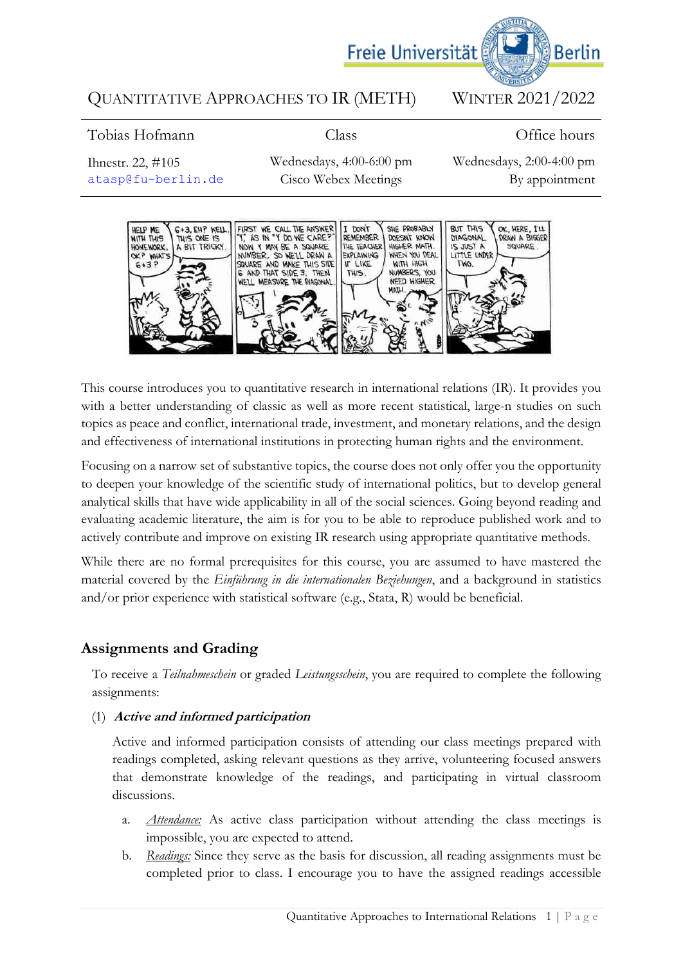

# QUANTITATIVE APPROACHES TO IR (METH) WINTER 2021/2022

# Tobias Hofmann

Class

# Office hours

Ihnestr. 22, #105 [atasp@fu-berlin.de](mailto:atasp@fu-berlin.de) Wednesdays, 4:00-6:00 pm Cisco Webex Meetings

Wednesdays, 2:00-4:00 pm By appointment



This course introduces you to quantitative research in international relations (IR). It provides you with a better understanding of classic as well as more recent statistical, large-n studies on such topics as peace and conflict, international trade, investment, and monetary relations, and the design and effectiveness of international institutions in protecting human rights and the environment.

Focusing on a narrow set of substantive topics, the course does not only offer you the opportunity to deepen your knowledge of the scientific study of international politics, but to develop general analytical skills that have wide applicability in all of the social sciences. Going beyond reading and evaluating academic literature, the aim is for you to be able to reproduce published work and to actively contribute and improve on existing IR research using appropriate quantitative methods.

While there are no formal prerequisites for this course, you are assumed to have mastered the material covered by the *Einführung in die internationalen Beziehungen*, and a background in statistics and/or prior experience with statistical software (e.g., Stata, R) would be beneficial.

# **Assignments and Grading**

To receive a *Teilnahmeschein* or graded *Leistungsschein*, you are required to complete the following assignments:

# (1) **Active and informed participation**

Active and informed participation consists of attending our class meetings prepared with readings completed, asking relevant questions as they arrive, volunteering focused answers that demonstrate knowledge of the readings, and participating in virtual classroom discussions.

- a. *Attendance:* As active class participation without attending the class meetings is impossible, you are expected to attend.
- b. *Readings:* Since they serve as the basis for discussion, all reading assignments must be completed prior to class. I encourage you to have the assigned readings accessible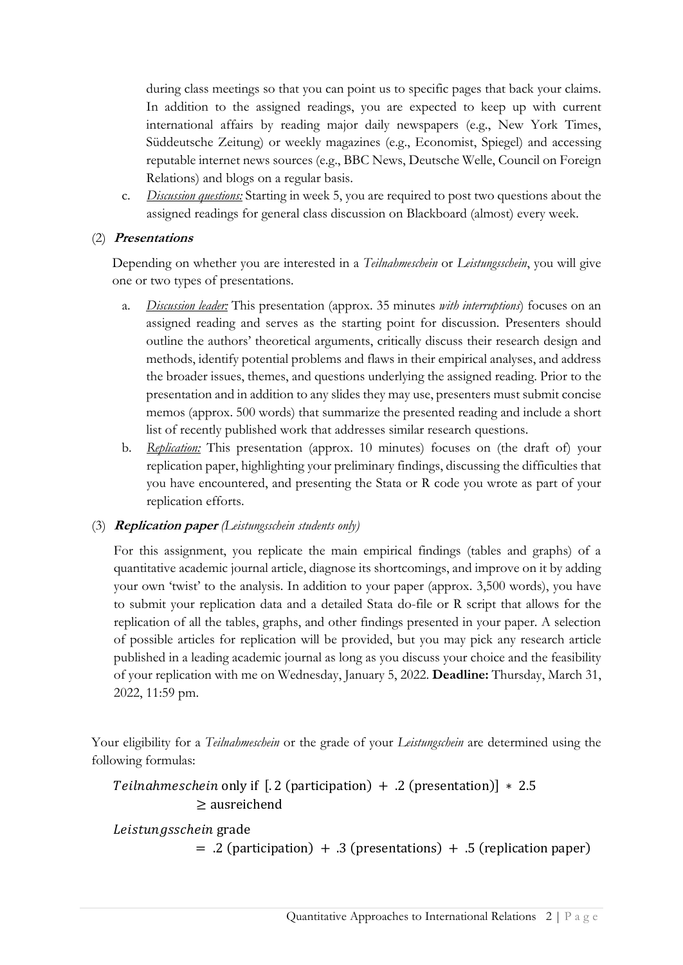during class meetings so that you can point us to specific pages that back your claims. In addition to the assigned readings, you are expected to keep up with current international affairs by reading major daily newspapers (e.g., New York Times, Süddeutsche Zeitung) or weekly magazines (e.g., Economist, Spiegel) and accessing reputable internet news sources (e.g., BBC News, Deutsche Welle, Council on Foreign Relations) and blogs on a regular basis.

c. *Discussion questions:* Starting in week 5, you are required to post two questions about the assigned readings for general class discussion on Blackboard (almost) every week.

# (2) **Presentations**

Depending on whether you are interested in a *Teilnahmeschein* or *Leistungsschein*, you will give one or two types of presentations.

- a. *Discussion leader:* This presentation (approx. 35 minutes *with interruptions*) focuses on an assigned reading and serves as the starting point for discussion. Presenters should outline the authors' theoretical arguments, critically discuss their research design and methods, identify potential problems and flaws in their empirical analyses, and address the broader issues, themes, and questions underlying the assigned reading. Prior to the presentation and in addition to any slides they may use, presenters must submit concise memos (approx. 500 words) that summarize the presented reading and include a short list of recently published work that addresses similar research questions.
- b. *Replication:* This presentation (approx. 10 minutes) focuses on (the draft of) your replication paper, highlighting your preliminary findings, discussing the difficulties that you have encountered, and presenting the Stata or R code you wrote as part of your replication efforts.

# (3) **Replication paper** *(Leistungsschein students only)*

For this assignment, you replicate the main empirical findings (tables and graphs) of a quantitative academic journal article, diagnose its shortcomings, and improve on it by adding your own 'twist' to the analysis. In addition to your paper (approx. 3,500 words), you have to submit your replication data and a detailed Stata do-file or R script that allows for the replication of all the tables, graphs, and other findings presented in your paper. A selection of possible articles for replication will be provided, but you may pick any research article published in a leading academic journal as long as you discuss your choice and the feasibility of your replication with me on Wednesday, January 5, 2022. **Deadline:** Thursday, March 31, 2022, 11:59 pm.

Your eligibility for a *Teilnahmeschein* or the grade of your *Leistungschein* are determined using the following formulas:

```
Teilnahmeschein only if [.2 (participation) + .2 (presentation)] * 2.5
 ≥ ausreichend
```

```
Leistungsschein grade
```

```
= .2 (participation) + .3 (presentations) + .5 (replication paper)
```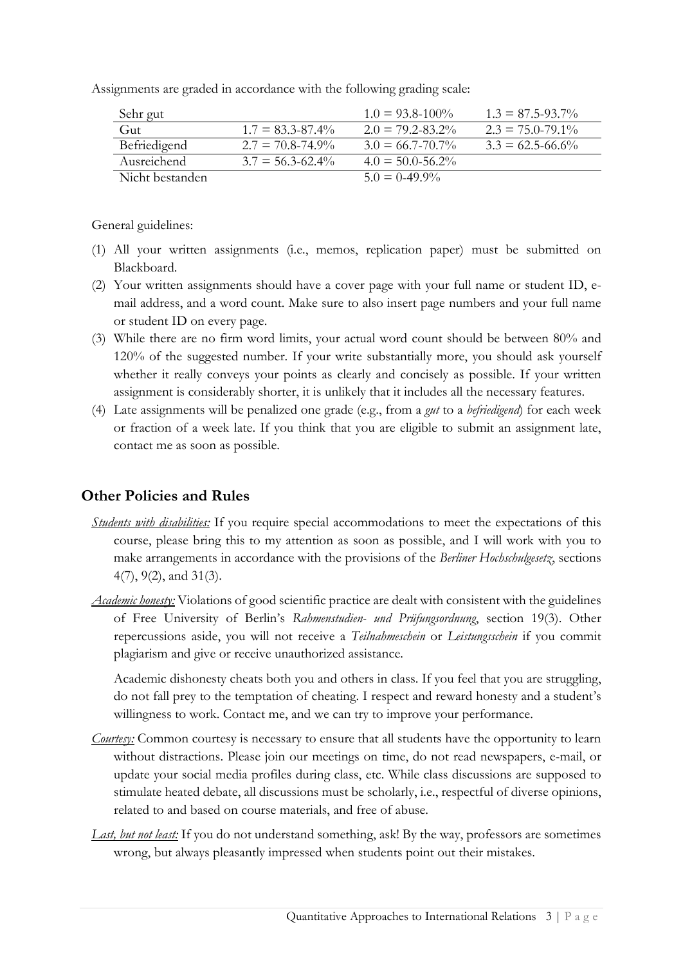Assignments are graded in accordance with the following grading scale:

| Sehr gut        |                       | $1.0 = 93.8 - 100\%$  | $1.3 = 87.5 - 93.7\%$ |
|-----------------|-----------------------|-----------------------|-----------------------|
| Gut             | $1.7 = 83.3 - 87.4\%$ | $2.0 = 79.2 - 83.2\%$ | $2.3 = 75.0 - 79.1\%$ |
| Befriedigend    | $2.7 = 70.8 - 74.9\%$ | $3.0 = 66.7 - 70.7\%$ | $3.3 = 62.5 - 66.6\%$ |
| Ausreichend     | $3.7 = 56.3 - 62.4\%$ | $4.0 = 50.0 - 56.2\%$ |                       |
| Nicht bestanden |                       | $5.0 = 0.49.9\%$      |                       |

General guidelines:

- (1) All your written assignments (i.e., memos, replication paper) must be submitted on Blackboard.
- (2) Your written assignments should have a cover page with your full name or student ID, email address, and a word count. Make sure to also insert page numbers and your full name or student ID on every page.
- (3) While there are no firm word limits, your actual word count should be between 80% and 120% of the suggested number. If your write substantially more, you should ask yourself whether it really conveys your points as clearly and concisely as possible. If your written assignment is considerably shorter, it is unlikely that it includes all the necessary features.
- (4) Late assignments will be penalized one grade (e.g., from a *gut* to a *befriedigend*) for each week or fraction of a week late. If you think that you are eligible to submit an assignment late, contact me as soon as possible.

# **Other Policies and Rules**

- *Students with disabilities:* If you require special accommodations to meet the expectations of this course, please bring this to my attention as soon as possible, and I will work with you to make arrangements in accordance with the provisions of the *Berliner Hochschulgesetz*, sections 4(7), 9(2), and 31(3).
- *Academic honesty:* Violations of good scientific practice are dealt with consistent with the guidelines of Free University of Berlin's *Rahmenstudien- und Prüfungsordnung*, section 19(3). Other repercussions aside, you will not receive a *Teilnahmeschein* or *Leistungsschein* if you commit plagiarism and give or receive unauthorized assistance.

Academic dishonesty cheats both you and others in class. If you feel that you are struggling, do not fall prey to the temptation of cheating. I respect and reward honesty and a student's willingness to work. Contact me, and we can try to improve your performance.

- *Courtesy:* Common courtesy is necessary to ensure that all students have the opportunity to learn without distractions. Please join our meetings on time, do not read newspapers, e-mail, or update your social media profiles during class, etc. While class discussions are supposed to stimulate heated debate, all discussions must be scholarly, i.e., respectful of diverse opinions, related to and based on course materials, and free of abuse.
- *Last, but not least:* If you do not understand something, ask! By the way, professors are sometimes wrong, but always pleasantly impressed when students point out their mistakes.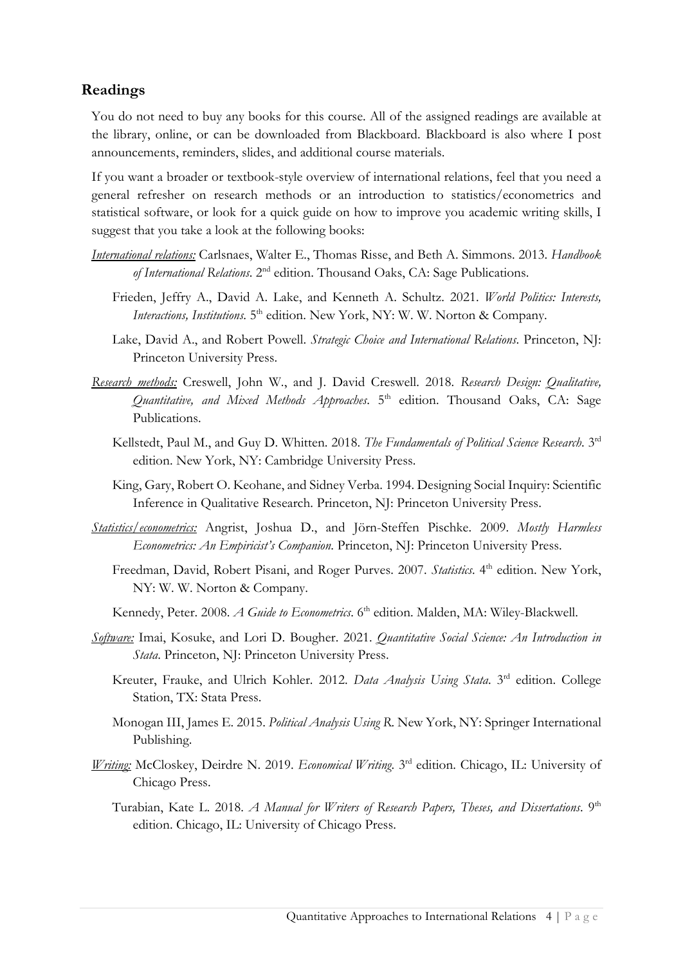# **Readings**

You do not need to buy any books for this course. All of the assigned readings are available at the library, online, or can be downloaded from Blackboard. Blackboard is also where I post announcements, reminders, slides, and additional course materials.

If you want a broader or textbook-style overview of international relations, feel that you need a general refresher on research methods or an introduction to statistics/econometrics and statistical software, or look for a quick guide on how to improve you academic writing skills, I suggest that you take a look at the following books:

- *International relations:* Carlsnaes, Walter E., Thomas Risse, and Beth A. Simmons. 2013. *Handbook of International Relations*. 2nd edition. Thousand Oaks, CA: Sage Publications.
	- Frieden, Jeffry A., David A. Lake, and Kenneth A. Schultz. 2021. *World Politics: Interests,*  Interactions, Institutions. 5<sup>th</sup> edition. New York, NY: W. W. Norton & Company.
	- Lake, David A., and Robert Powell. *Strategic Choice and International Relations*. Princeton, NJ: Princeton University Press.
- *Research methods:* Creswell, John W., and J. David Creswell. 2018. *Research Design: Qualitative, Quantitative, and Mixed Methods Approaches*. 5 th edition. Thousand Oaks, CA: Sage Publications.
	- Kellstedt, Paul M., and Guy D. Whitten. 2018. The Fundamentals of Political Science Research. 3rd edition. New York, NY: Cambridge University Press.
	- King, Gary, Robert O. Keohane, and Sidney Verba. 1994. Designing Social Inquiry: Scientific Inference in Qualitative Research. Princeton, NJ: Princeton University Press.
- *Statistics/econometrics:* Angrist, Joshua D., and Jörn-Steffen Pischke. 2009. *Mostly Harmless Econometrics: An Empiricist's Companion*. Princeton, NJ: Princeton University Press.
	- Freedman, David, Robert Pisani, and Roger Purves. 2007. *Statistics*. 4<sup>th</sup> edition. New York, NY: W. W. Norton & Company.
	- Kennedy, Peter. 2008. *A Guide to Econometrics*. 6<sup>th</sup> edition. Malden, MA: Wiley-Blackwell.
- *Software:* Imai, Kosuke, and Lori D. Bougher. 2021. *Quantitative Social Science: An Introduction in Stata*. Princeton, NJ: Princeton University Press.
	- Kreuter, Frauke, and Ulrich Kohler. 2012. *Data Analysis Using Stata*. 3<sup>rd</sup> edition. College Station, TX: Stata Press.
	- Monogan III, James E. 2015. *Political Analysis Using R*. New York, NY: Springer International Publishing.
- *Writing:* McCloskey, Deirdre N. 2019. *Economical Writing*. 3 rd edition. Chicago, IL: University of Chicago Press.
	- Turabian, Kate L. 2018. *A Manual for Writers of Research Papers, Theses, and Dissertations*. 9<sup>th</sup> edition. Chicago, IL: University of Chicago Press.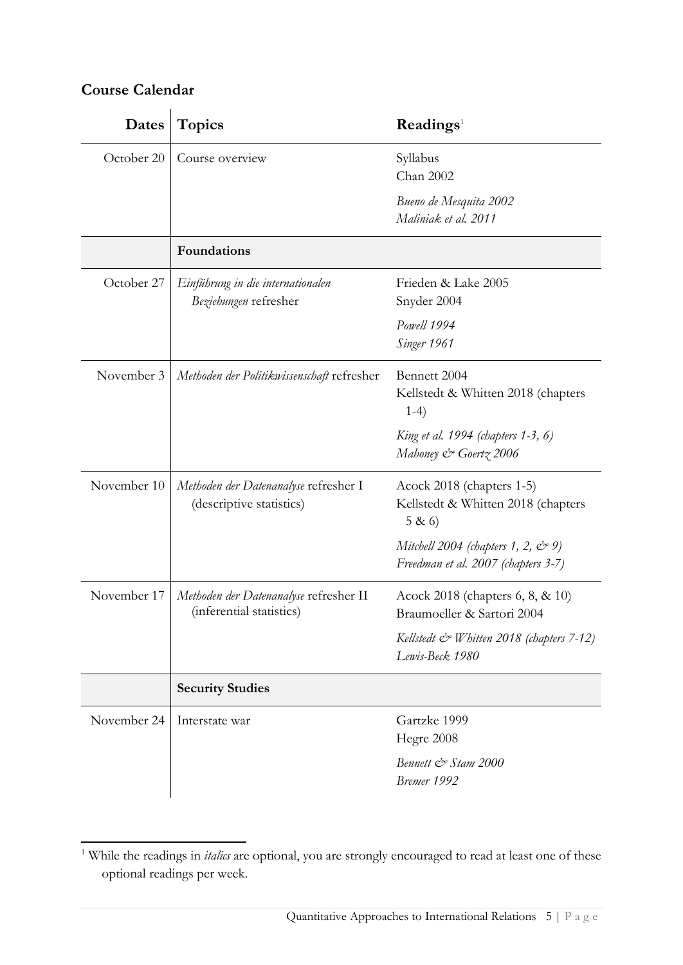# **Course Calendar**

| Dates       | <b>Topics</b>                                                      | Readings <sup>1</sup>                                                          |
|-------------|--------------------------------------------------------------------|--------------------------------------------------------------------------------|
| October 20  | Course overview                                                    | Syllabus<br>Chan 2002                                                          |
|             |                                                                    | Bueno de Mesquita 2002<br>Maliniak et al. 2011                                 |
|             | Foundations                                                        |                                                                                |
| October 27  | Einführung in die internationalen<br>Beziehungen refresher         | Frieden & Lake 2005<br>Snyder 2004                                             |
|             |                                                                    | Powell 1994<br>Singer 1961                                                     |
| November 3  | Methoden der Politikwissenschaft refresher                         | Bennett 2004<br>Kellstedt & Whitten 2018 (chapters<br>$1-4)$                   |
|             |                                                                    | King et al. 1994 (chapters 1-3, 6)<br>Mahoney & Goertz 2006                    |
| November 10 | Methoden der Datenanalyse refresher I<br>(descriptive statistics)  | Acock 2018 (chapters 1-5)<br>Kellstedt & Whitten 2018 (chapters<br>5 & 6       |
|             |                                                                    | Mitchell 2004 (chapters 1, 2, $\lll$ 9)<br>Freedman et al. 2007 (chapters 3-7) |
| November 17 | Methoden der Datenanalyse refresher II<br>(inferential statistics) | Acock 2018 (chapters 6, 8, & 10)<br>Braumoeller & Sartori 2004                 |
|             |                                                                    | Kellstedt & Whitten 2018 (chapters 7-12)<br>Lewis-Beck 1980                    |
|             | <b>Security Studies</b>                                            |                                                                                |
| November 24 | Interstate war                                                     | Gartzke 1999<br>Hegre 2008                                                     |
|             |                                                                    | Bennett & Stam 2000<br>Bremer 1992                                             |

<sup>1</sup> While the readings in *italics* are optional, you are strongly encouraged to read at least one of these optional readings per week.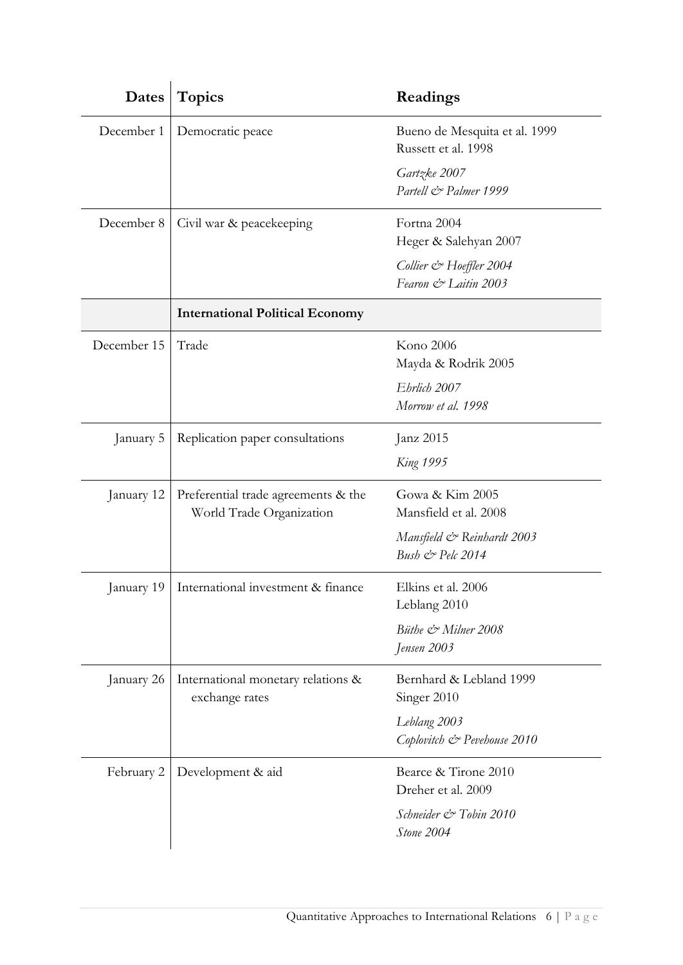| Dates       | <b>Topics</b>                                                   | Readings                                             |
|-------------|-----------------------------------------------------------------|------------------------------------------------------|
| December 1  | Democratic peace                                                | Bueno de Mesquita et al. 1999<br>Russett et al. 1998 |
|             |                                                                 | Gartzke 2007<br>Partell & Palmer 1999                |
| December 8  | Civil war & peacekeeping                                        | Fortna 2004<br>Heger & Salehyan 2007                 |
|             |                                                                 | Collier & Hoeffler 2004<br>Fearon & Laitin 2003      |
|             | <b>International Political Economy</b>                          |                                                      |
| December 15 | Trade                                                           | Kono 2006<br>Mayda & Rodrik 2005                     |
|             |                                                                 | Ehrlich 2007<br>Morrow et al. 1998                   |
| January 5   | Replication paper consultations                                 | Janz 2015                                            |
|             |                                                                 | <b>King 1995</b>                                     |
| January 12  | Preferential trade agreements & the<br>World Trade Organization | Gowa & Kim 2005<br>Mansfield et al. 2008             |
|             |                                                                 | Mansfield & Reinhardt 2003<br>Bush & Pelc 2014       |
|             | January 19   International investment & finance                 | Elkins et al. 2006<br>Leblang 2010                   |
|             |                                                                 | Büthe & Milner 2008<br>Jensen 2003                   |
| January 26  | International monetary relations &<br>exchange rates            | Bernhard & Lebland 1999<br>Singer 2010               |
|             |                                                                 | Leblang 2003<br>Coplovitch & Pevehouse 2010          |
| February 2  | Development & aid                                               | Bearce & Tirone 2010<br>Dreher et al. 2009           |
|             |                                                                 | Schneider & Tobin 2010<br>Stone 2004                 |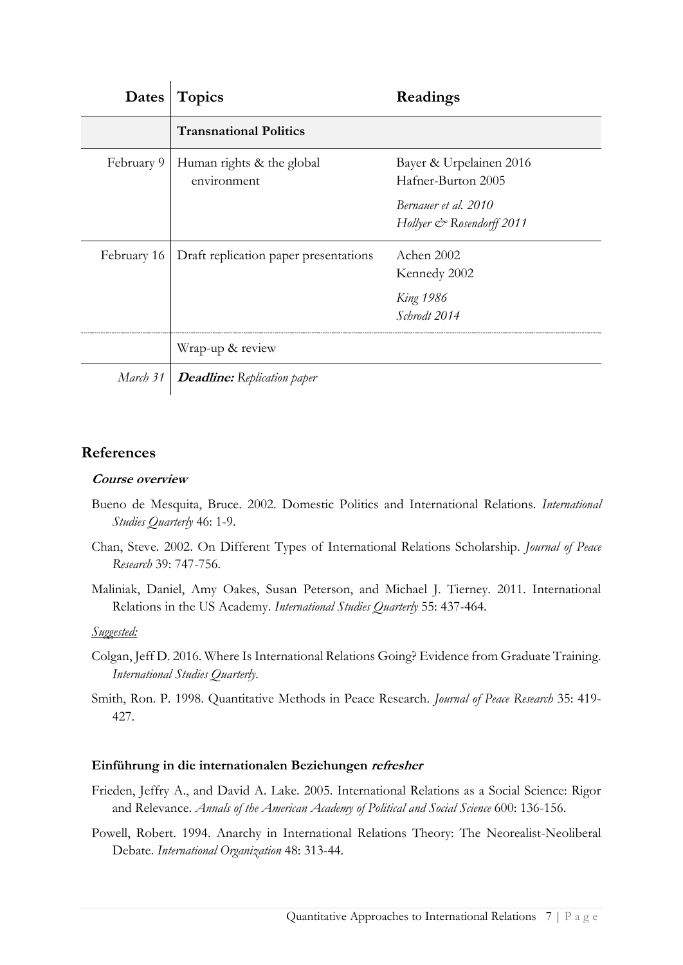| Dates       | <b>Topics</b>                            | Readings                                          |
|-------------|------------------------------------------|---------------------------------------------------|
|             | <b>Transnational Politics</b>            |                                                   |
| February 9  | Human rights & the global<br>environment | Bayer & Urpelainen 2016<br>Hafner-Burton 2005     |
|             |                                          | Bernauer et al. 2010<br>Hollyer & Rosendorff 2011 |
| February 16 | Draft replication paper presentations    | Achen 2002<br>Kennedy 2002                        |
|             |                                          | <b>King 1986</b><br>Schrodt 2014                  |
|             | Wrap-up & review                         |                                                   |
| March 31    | <b>Deadline:</b> Replication paper       |                                                   |

# **References**

# **Course overview**

- Bueno de Mesquita, Bruce. 2002. Domestic Politics and International Relations. *International Studies Quarterly* 46: 1-9.
- Chan, Steve. 2002. On Different Types of International Relations Scholarship. *Journal of Peace Research* 39: 747-756.
- Maliniak, Daniel, Amy Oakes, Susan Peterson, and Michael J. Tierney. 2011. International Relations in the US Academy. *International Studies Quarterly* 55: 437-464.

# *Suggested:*

- Colgan, Jeff D. 2016. Where Is International Relations Going? Evidence from Graduate Training. *International Studies Quarterly*.
- Smith, Ron. P. 1998. Quantitative Methods in Peace Research. *Journal of Peace Research* 35: 419- 427.

# **Einführung in die internationalen Beziehungen refresher**

- Frieden, Jeffry A., and David A. Lake. 2005. International Relations as a Social Science: Rigor and Relevance. *Annals of the American Academy of Political and Social Science* 600: 136-156.
- Powell, Robert. 1994. Anarchy in International Relations Theory: The Neorealist-Neoliberal Debate. *International Organization* 48: 313-44.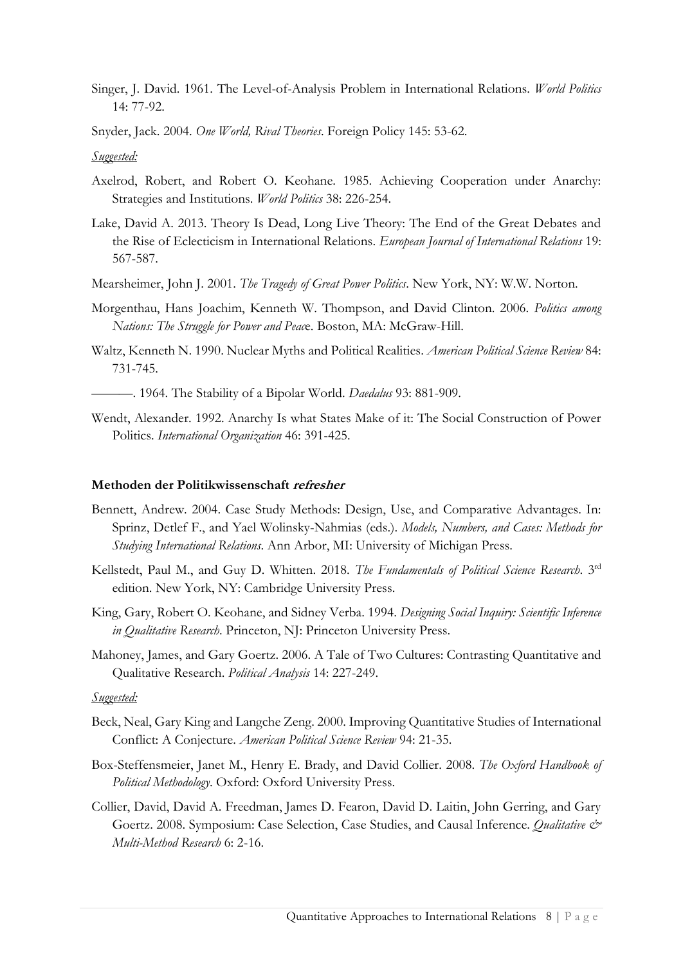- Singer, J. David. 1961. The Level-of-Analysis Problem in International Relations. *World Politics* 14: 77-92.
- Snyder, Jack. 2004. *One World, Rival Theories*. Foreign Policy 145: 53-62.

## *Suggested:*

- Axelrod, Robert, and Robert O. Keohane. 1985. Achieving Cooperation under Anarchy: Strategies and Institutions. *World Politics* 38: 226-254.
- Lake, David A. 2013. Theory Is Dead, Long Live Theory: The End of the Great Debates and the Rise of Eclecticism in International Relations. *European Journal of International Relations* 19: 567-587.
- Mearsheimer, John J. 2001. *The Tragedy of Great Power Politics*. New York, NY: W.W. Norton.
- Morgenthau, Hans Joachim, Kenneth W. Thompson, and David Clinton. 2006. *Politics among Nations: The Struggle for Power and Peac*e. Boston, MA: McGraw-Hill.
- Waltz, Kenneth N. 1990. Nuclear Myths and Political Realities. *American Political Science Review* 84: 731-745.
	- ———. 1964. The Stability of a Bipolar World. *Daedalus* 93: 881-909.
- Wendt, Alexander. 1992. Anarchy Is what States Make of it: The Social Construction of Power Politics. *International Organization* 46: 391-425.

#### **Methoden der Politikwissenschaft refresher**

- Bennett, Andrew. 2004. Case Study Methods: Design, Use, and Comparative Advantages. In: Sprinz, Detlef F., and Yael Wolinsky-Nahmias (eds.). *Models, Numbers, and Cases: Methods for Studying International Relations*. Ann Arbor, MI: University of Michigan Press.
- Kellstedt, Paul M., and Guy D. Whitten. 2018. *The Fundamentals of Political Science Research*. 3rd edition. New York, NY: Cambridge University Press.
- King, Gary, Robert O. Keohane, and Sidney Verba. 1994. *Designing Social Inquiry: Scientific Inference in Qualitative Research*. Princeton, NJ: Princeton University Press.
- Mahoney, James, and Gary Goertz. 2006. A Tale of Two Cultures: Contrasting Quantitative and Qualitative Research. *Political Analysis* 14: 227-249.

- Beck, Neal, Gary King and Langche Zeng. 2000. Improving Quantitative Studies of International Conflict: A Conjecture. *American Political Science Review* 94: 21-35.
- Box-Steffensmeier, Janet M., Henry E. Brady, and David Collier. 2008. *The Oxford Handbook of Political Methodology*. Oxford: Oxford University Press.
- Collier, David, David A. Freedman, James D. Fearon, David D. Laitin, John Gerring, and Gary Goertz. 2008. Symposium: Case Selection, Case Studies, and Causal Inference. *Qualitative & Multi-Method Research* 6: 2-16.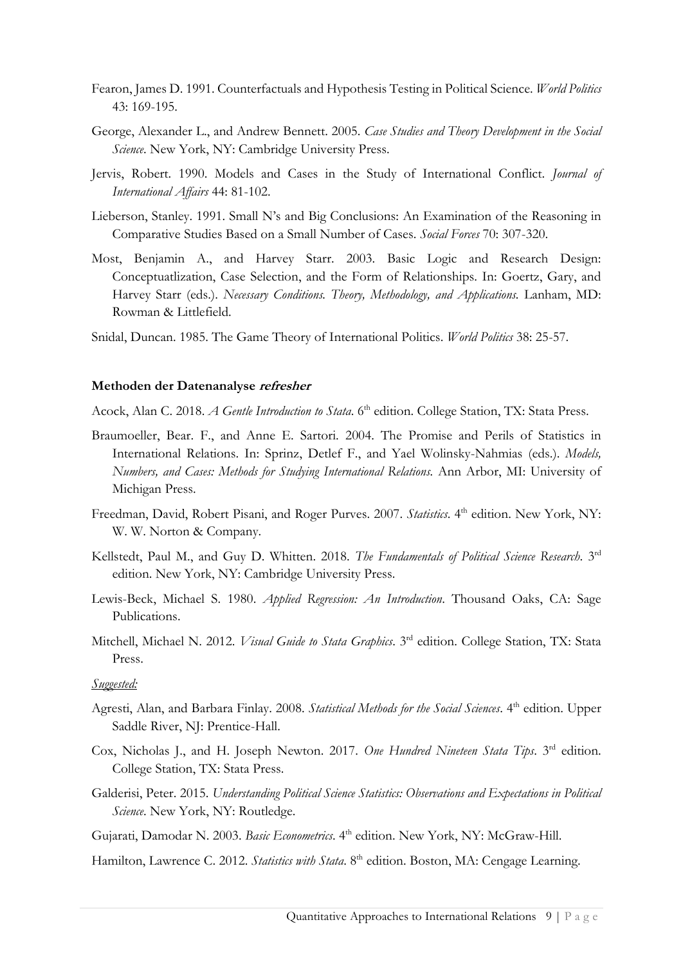- Fearon, James D. 1991. Counterfactuals and Hypothesis Testing in Political Science. *World Politics* 43: 169-195.
- George, Alexander L., and Andrew Bennett. 2005. *Case Studies and Theory Development in the Social Science*. New York, NY: Cambridge University Press.
- Jervis, Robert. 1990. Models and Cases in the Study of International Conflict. *Journal of International Affairs* 44: 81-102.
- Lieberson, Stanley. 1991. Small N's and Big Conclusions: An Examination of the Reasoning in Comparative Studies Based on a Small Number of Cases. *Social Forces* 70: 307-320.
- Most, Benjamin A., and Harvey Starr. 2003. Basic Logic and Research Design: Conceptuatlization, Case Selection, and the Form of Relationships. In: Goertz, Gary, and Harvey Starr (eds.). *Necessary Conditions. Theory, Methodology, and Applications.* Lanham, MD: Rowman & Littlefield.
- Snidal, Duncan. 1985. The Game Theory of International Politics. *World Politics* 38: 25-57.

## **Methoden der Datenanalyse refresher**

Acock, Alan C. 2018. *A Gentle Introduction to Stata*. 6<sup>th</sup> edition. College Station, TX: Stata Press.

- Braumoeller, Bear. F., and Anne E. Sartori. 2004. The Promise and Perils of Statistics in International Relations. In: Sprinz, Detlef F., and Yael Wolinsky-Nahmias (eds.). *Models, Numbers, and Cases: Methods for Studying International Relations.* Ann Arbor, MI: University of Michigan Press.
- Freedman, David, Robert Pisani, and Roger Purves. 2007. *Statistics*. 4<sup>th</sup> edition. New York, NY: W. W. Norton & Company.
- Kellstedt, Paul M., and Guy D. Whitten. 2018. *The Fundamentals of Political Science Research*. 3rd edition. New York, NY: Cambridge University Press.
- Lewis-Beck, Michael S. 1980. *Applied Regression: An Introduction*. Thousand Oaks, CA: Sage Publications.
- Mitchell, Michael N. 2012. *Visual Guide to Stata Graphics*. 3<sup>rd</sup> edition. College Station, TX: Stata Press.

- Agresti, Alan, and Barbara Finlay. 2008. *Statistical Methods for the Social Sciences*. 4<sup>th</sup> edition. Upper Saddle River, NJ: Prentice-Hall.
- Cox, Nicholas J., and H. Joseph Newton. 2017. One Hundred Nineteen Stata Tips. 3<sup>rd</sup> edition. College Station, TX: Stata Press.
- Galderisi, Peter. 2015. *Understanding Political Science Statistics: Observations and Expectations in Political Science*. New York, NY: Routledge.
- Gujarati, Damodar N. 2003. Basic Econometrics. 4th edition. New York, NY: McGraw-Hill.
- Hamilton, Lawrence C. 2012. *Statistics with Stata*. 8<sup>th</sup> edition. Boston, MA: Cengage Learning.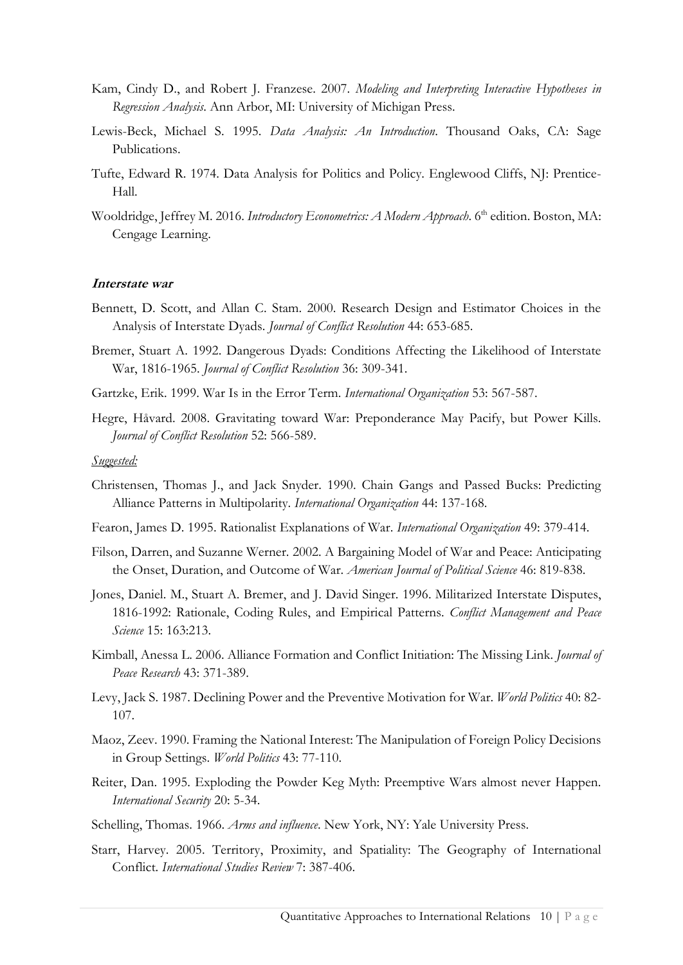- Kam, Cindy D., and Robert J. Franzese. 2007. *Modeling and Interpreting Interactive Hypotheses in Regression Analysis*. Ann Arbor, MI: University of Michigan Press.
- Lewis-Beck, Michael S. 1995. *Data Analysis: An Introduction*. Thousand Oaks, CA: Sage Publications.
- Tufte, Edward R. 1974. Data Analysis for Politics and Policy. Englewood Cliffs, NJ: Prentice-Hall.
- Wooldridge, Jeffrey M. 2016. *Introductory Econometrics: A Modern Approach*. 6<sup>th</sup> edition. Boston, MA: Cengage Learning.

#### **Interstate war**

- Bennett, D. Scott, and Allan C. Stam. 2000. Research Design and Estimator Choices in the Analysis of Interstate Dyads. *Journal of Conflict Resolution* 44: 653-685.
- Bremer, Stuart A. 1992. Dangerous Dyads: Conditions Affecting the Likelihood of Interstate War, 1816-1965. *Journal of Conflict Resolution* 36: 309-341.
- Gartzke, Erik. 1999. War Is in the Error Term. *International Organization* 53: 567-587.
- Hegre, Håvard. 2008. Gravitating toward War: Preponderance May Pacify, but Power Kills. *Journal of Conflict Resolution* 52: 566-589.

- Christensen, Thomas J., and Jack Snyder. 1990. Chain Gangs and Passed Bucks: Predicting Alliance Patterns in Multipolarity. *International Organization* 44: 137-168.
- Fearon, James D. 1995. Rationalist Explanations of War. *International Organization* 49: 379-414.
- Filson, Darren, and Suzanne Werner. 2002. A Bargaining Model of War and Peace: Anticipating the Onset, Duration, and Outcome of War. *American Journal of Political Science* 46: 819-838.
- Jones, Daniel. M., Stuart A. Bremer, and J. David Singer. 1996. Militarized Interstate Disputes, 1816-1992: Rationale, Coding Rules, and Empirical Patterns. *Conflict Management and Peace Science* 15: 163:213.
- Kimball, Anessa L. 2006. Alliance Formation and Conflict Initiation: The Missing Link. *Journal of Peace Research* 43: 371-389.
- Levy, Jack S. 1987. Declining Power and the Preventive Motivation for War. *World Politics* 40: 82- 107.
- Maoz, Zeev. 1990. Framing the National Interest: The Manipulation of Foreign Policy Decisions in Group Settings. *World Politics* 43: 77-110.
- Reiter, Dan. 1995. Exploding the Powder Keg Myth: Preemptive Wars almost never Happen. *International Security* 20: 5-34.
- Schelling, Thomas. 1966. *Arms and influence*. New York, NY: Yale University Press.
- Starr, Harvey. 2005. Territory, Proximity, and Spatiality: The Geography of International Conflict. *International Studies Review* 7: 387-406.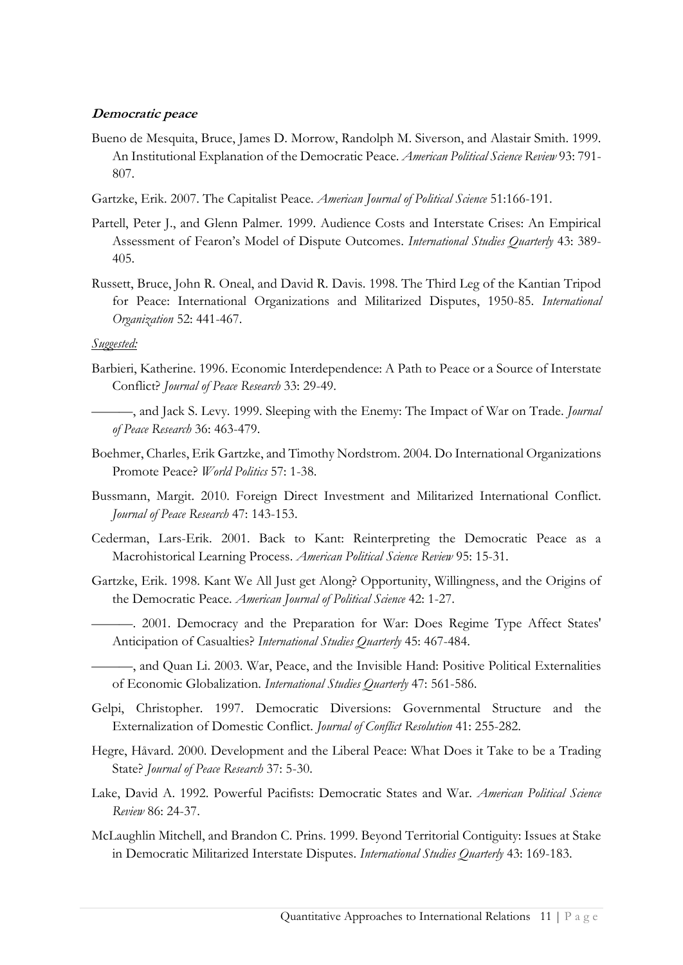# **Democratic peace**

- Bueno de Mesquita, Bruce, James D. Morrow, Randolph M. Siverson, and Alastair Smith. 1999. An Institutional Explanation of the Democratic Peace. *American Political Science Review* 93: 791- 807.
- Gartzke, Erik. 2007. The Capitalist Peace. *American Journal of Political Science* 51:166-191.
- Partell, Peter J., and Glenn Palmer. 1999. Audience Costs and Interstate Crises: An Empirical Assessment of Fearon's Model of Dispute Outcomes. *International Studies Quarterly* 43: 389- 405.
- Russett, Bruce, John R. Oneal, and David R. Davis. 1998. The Third Leg of the Kantian Tripod for Peace: International Organizations and Militarized Disputes, 1950-85. *International Organization* 52: 441-467.

- Barbieri, Katherine. 1996. Economic Interdependence: A Path to Peace or a Source of Interstate Conflict? *Journal of Peace Research* 33: 29-49.
- ———, and Jack S. Levy. 1999. Sleeping with the Enemy: The Impact of War on Trade. *Journal of Peace Research* 36: 463-479.
- Boehmer, Charles, Erik Gartzke, and Timothy Nordstrom. 2004. Do International Organizations Promote Peace? *World Politics* 57: 1-38.
- Bussmann, Margit. 2010. Foreign Direct Investment and Militarized International Conflict. *Journal of Peace Research* 47: 143-153.
- Cederman, Lars-Erik. 2001. Back to Kant: Reinterpreting the Democratic Peace as a Macrohistorical Learning Process. *American Political Science Review* 95: 15-31.
- Gartzke, Erik. 1998. Kant We All Just get Along? Opportunity, Willingness, and the Origins of the Democratic Peace. *American Journal of Political Science* 42: 1-27.
- ———. 2001. Democracy and the Preparation for War: Does Regime Type Affect States' Anticipation of Casualties? *International Studies Quarterly* 45: 467-484.
- ———, and Quan Li. 2003. War, Peace, and the Invisible Hand: Positive Political Externalities of Economic Globalization. *International Studies Quarterly* 47: 561-586.
- Gelpi, Christopher. 1997. Democratic Diversions: Governmental Structure and the Externalization of Domestic Conflict. *Journal of Conflict Resolution* 41: 255-282.
- Hegre, Håvard. 2000. Development and the Liberal Peace: What Does it Take to be a Trading State? *Journal of Peace Research* 37: 5-30.
- Lake, David A. 1992. Powerful Pacifists: Democratic States and War. *American Political Science Review* 86: 24-37.
- McLaughlin Mitchell, and Brandon C. Prins. 1999. Beyond Territorial Contiguity: Issues at Stake in Democratic Militarized Interstate Disputes. *International Studies Quarterly* 43: 169-183.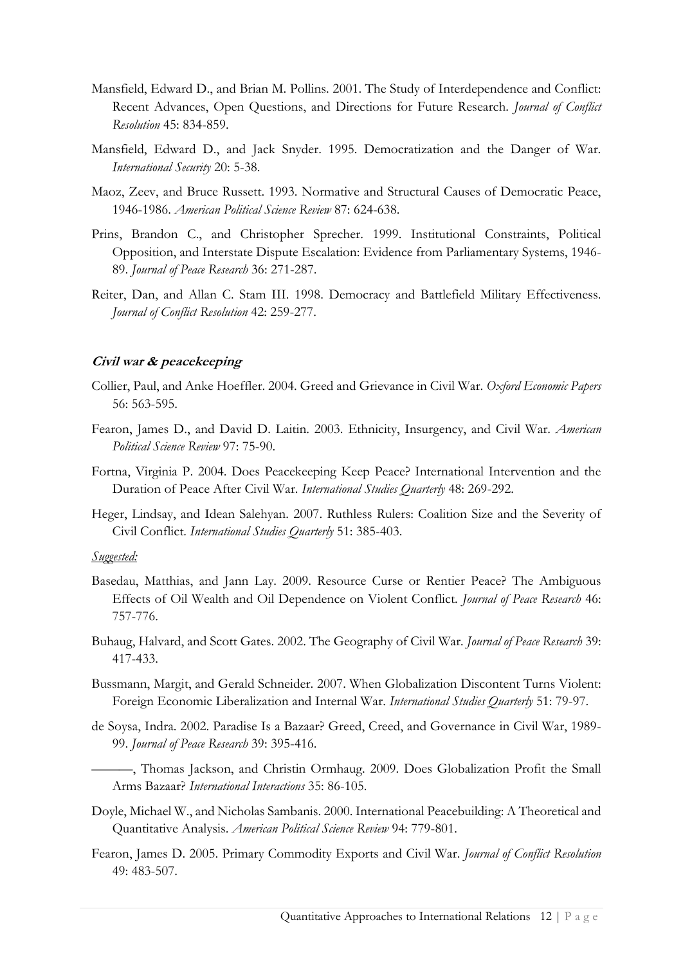- Mansfield, Edward D., and Brian M. Pollins. 2001. The Study of Interdependence and Conflict: Recent Advances, Open Questions, and Directions for Future Research. *Journal of Conflict Resolution* 45: 834-859.
- Mansfield, Edward D., and Jack Snyder. 1995. Democratization and the Danger of War. *International Security* 20: 5-38.
- Maoz, Zeev, and Bruce Russett. 1993. Normative and Structural Causes of Democratic Peace, 1946-1986. *American Political Science Review* 87: 624-638.
- Prins, Brandon C., and Christopher Sprecher. 1999. Institutional Constraints, Political Opposition, and Interstate Dispute Escalation: Evidence from Parliamentary Systems, 1946- 89. *Journal of Peace Research* 36: 271-287.
- Reiter, Dan, and Allan C. Stam III. 1998. Democracy and Battlefield Military Effectiveness. *Journal of Conflict Resolution* 42: 259-277.

## **Civil war & peacekeeping**

- Collier, Paul, and Anke Hoeffler. 2004. Greed and Grievance in Civil War. *Oxford Economic Papers* 56: 563-595.
- Fearon, James D., and David D. Laitin. 2003. Ethnicity, Insurgency, and Civil War. *American Political Science Review* 97: 75-90.
- Fortna, Virginia P. 2004. Does Peacekeeping Keep Peace? International Intervention and the Duration of Peace After Civil War. *International Studies Quarterly* 48: 269-292.
- Heger, Lindsay, and Idean Salehyan. 2007. Ruthless Rulers: Coalition Size and the Severity of Civil Conflict. *International Studies Quarterly* 51: 385-403.

- Basedau, Matthias, and Jann Lay. 2009. Resource Curse or Rentier Peace? The Ambiguous Effects of Oil Wealth and Oil Dependence on Violent Conflict. *Journal of Peace Research* 46: 757-776.
- Buhaug, Halvard, and Scott Gates. 2002. The Geography of Civil War*. Journal of Peace Research* 39: 417-433.
- Bussmann, Margit, and Gerald Schneider. 2007. When Globalization Discontent Turns Violent: Foreign Economic Liberalization and Internal War. *International Studies Quarterly* 51: 79-97.
- de Soysa, Indra. 2002. Paradise Is a Bazaar? Greed, Creed, and Governance in Civil War, 1989- 99. *Journal of Peace Research* 39: 395-416.
	- ———, Thomas Jackson, and Christin Ormhaug. 2009. Does Globalization Profit the Small Arms Bazaar? *International Interactions* 35: 86-105.
- Doyle, Michael W., and Nicholas Sambanis. 2000. International Peacebuilding: A Theoretical and Quantitative Analysis. *American Political Science Review* 94: 779-801.
- Fearon, James D. 2005. Primary Commodity Exports and Civil War. *Journal of Conflict Resolution* 49: 483-507.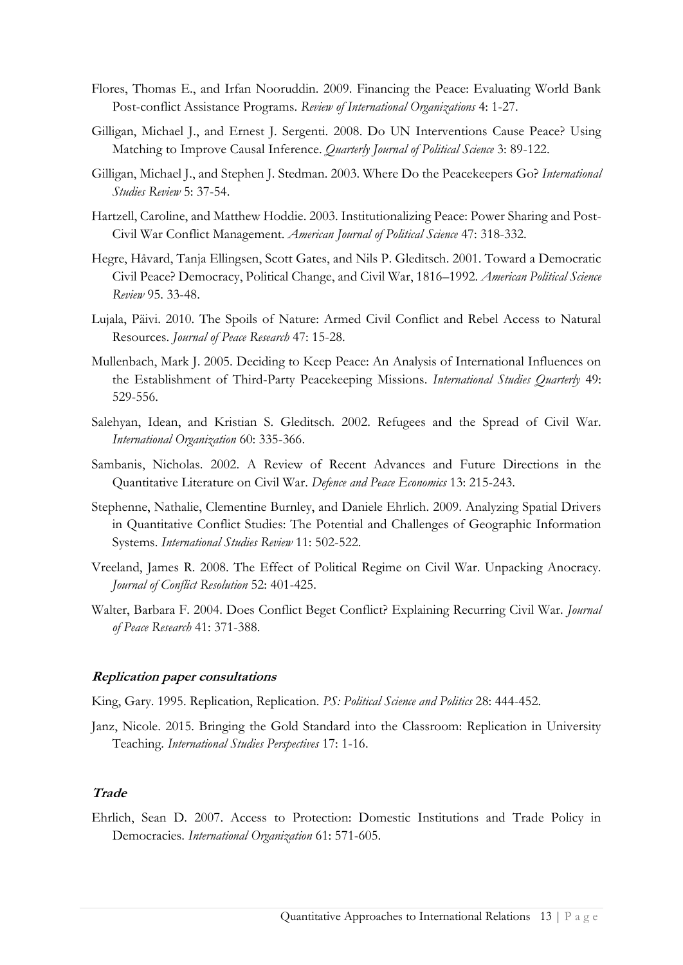- Flores, Thomas E., and Irfan Nooruddin. 2009. Financing the Peace: Evaluating World Bank Post-conflict Assistance Programs. *Review of International Organizations* 4: 1-27.
- Gilligan, Michael J., and Ernest J. Sergenti. 2008. Do UN Interventions Cause Peace? Using Matching to Improve Causal Inference. *Quarterly Journal of Political Science* 3: 89-122.
- Gilligan, Michael J., and Stephen J. Stedman. 2003. Where Do the Peacekeepers Go? *International Studies Review* 5: 37-54.
- Hartzell, Caroline, and Matthew Hoddie. 2003. Institutionalizing Peace: Power Sharing and Post-Civil War Conflict Management. *American Journal of Political Science* 47: 318-332.
- Hegre, Håvard, Tanja Ellingsen, Scott Gates, and Nils P. Gleditsch. 2001. Toward a Democratic Civil Peace? Democracy, Political Change, and Civil War, 1816–1992. *American Political Science Review* 95. 33-48.
- Lujala, Päivi. 2010. The Spoils of Nature: Armed Civil Conflict and Rebel Access to Natural Resources. *Journal of Peace Research* 47: 15-28.
- Mullenbach, Mark J. 2005. Deciding to Keep Peace: An Analysis of International Influences on the Establishment of Third-Party Peacekeeping Missions. *International Studies Quarterly* 49: 529-556.
- Salehyan, Idean, and Kristian S. Gleditsch. 2002. Refugees and the Spread of Civil War. *International Organization* 60: 335-366.
- Sambanis, Nicholas. 2002. A Review of Recent Advances and Future Directions in the Quantitative Literature on Civil War. *Defence and Peace Economics* 13: 215-243.
- Stephenne, Nathalie, Clementine Burnley, and Daniele Ehrlich. 2009. Analyzing Spatial Drivers in Quantitative Conflict Studies: The Potential and Challenges of Geographic Information Systems. *International Studies Review* 11: 502-522.
- Vreeland, James R. 2008. The Effect of Political Regime on Civil War. Unpacking Anocracy. *Journal of Conflict Resolution* 52: 401-425.
- Walter, Barbara F. 2004. Does Conflict Beget Conflict? Explaining Recurring Civil War. *Journal of Peace Research* 41: 371-388.

## **Replication paper consultations**

King, Gary. 1995. Replication, Replication. *PS: Political Science and Politics* 28: 444-452.

Janz, Nicole. 2015. Bringing the Gold Standard into the Classroom: Replication in University Teaching. *International Studies Perspectives* 17: 1-16.

## **Trade**

Ehrlich, Sean D. 2007. Access to Protection: Domestic Institutions and Trade Policy in Democracies. *International Organization* 61: 571-605.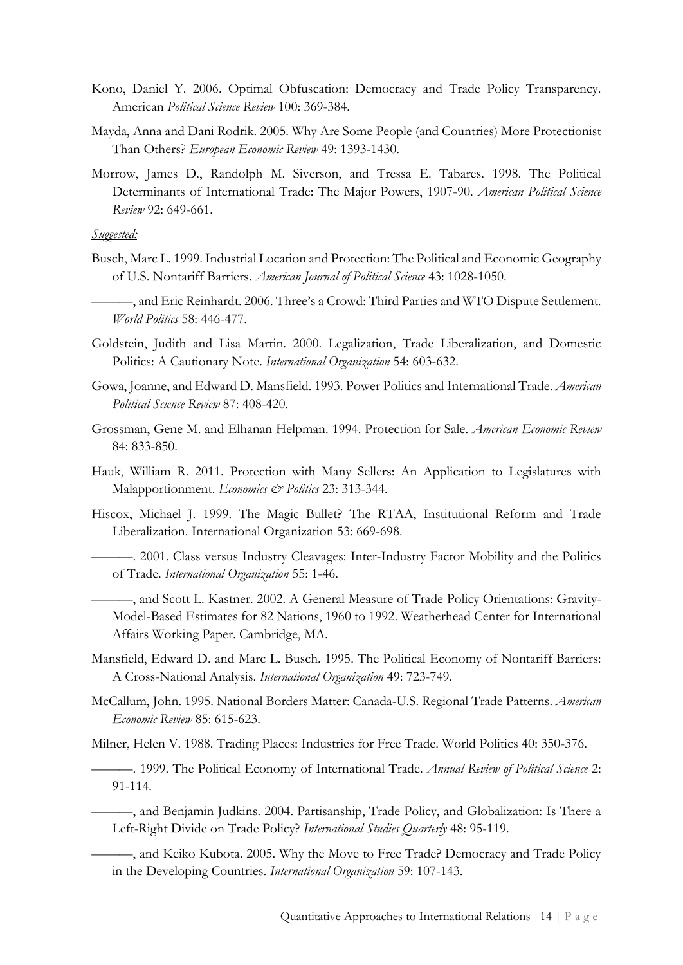- Kono, Daniel Y. 2006. Optimal Obfuscation: Democracy and Trade Policy Transparency. American *Political Science Review* 100: 369-384.
- Mayda, Anna and Dani Rodrik. 2005. Why Are Some People (and Countries) More Protectionist Than Others? *European Economic Review* 49: 1393-1430.
- Morrow, James D., Randolph M. Siverson, and Tressa E. Tabares. 1998. The Political Determinants of International Trade: The Major Powers, 1907-90. *American Political Science Review* 92: 649-661.

## *Suggested:*

- Busch, Marc L. 1999. Industrial Location and Protection: The Political and Economic Geography of U.S. Nontariff Barriers. *American Journal of Political Science* 43: 1028-1050.
- ———, and Eric Reinhardt. 2006. Three's a Crowd: Third Parties and WTO Dispute Settlement. *World Politics* 58: 446-477.
- Goldstein, Judith and Lisa Martin. 2000. Legalization, Trade Liberalization, and Domestic Politics: A Cautionary Note. *International Organization* 54: 603-632.
- Gowa, Joanne, and Edward D. Mansfield. 1993. Power Politics and International Trade. *American Political Science Review* 87: 408-420.
- Grossman, Gene M. and Elhanan Helpman. 1994. Protection for Sale. *American Economic Review* 84: 833-850.
- Hauk, William R. 2011. Protection with Many Sellers: An Application to Legislatures with Malapportionment. *Economics & Politics* 23: 313-344.
- Hiscox, Michael J. 1999. The Magic Bullet? The RTAA, Institutional Reform and Trade Liberalization. International Organization 53: 669-698.
	- ———. 2001. Class versus Industry Cleavages: Inter-Industry Factor Mobility and the Politics of Trade. *International Organization* 55: 1-46.
	- ———, and Scott L. Kastner. 2002. A General Measure of Trade Policy Orientations: Gravity-Model-Based Estimates for 82 Nations, 1960 to 1992. Weatherhead Center for International Affairs Working Paper. Cambridge, MA.
- Mansfield, Edward D. and Marc L. Busch. 1995. The Political Economy of Nontariff Barriers: A Cross-National Analysis. *International Organization* 49: 723-749.
- McCallum, John. 1995. National Borders Matter: Canada-U.S. Regional Trade Patterns. *American Economic Review* 85: 615-623.

Milner, Helen V. 1988. Trading Places: Industries for Free Trade. World Politics 40: 350-376.

———. 1999. The Political Economy of International Trade. *Annual Review of Political Science* 2: 91-114.

———, and Benjamin Judkins. 2004. Partisanship, Trade Policy, and Globalization: Is There a Left-Right Divide on Trade Policy? *International Studies Quarterly* 48: 95-119.

———, and Keiko Kubota. 2005. Why the Move to Free Trade? Democracy and Trade Policy in the Developing Countries. *International Organization* 59: 107-143.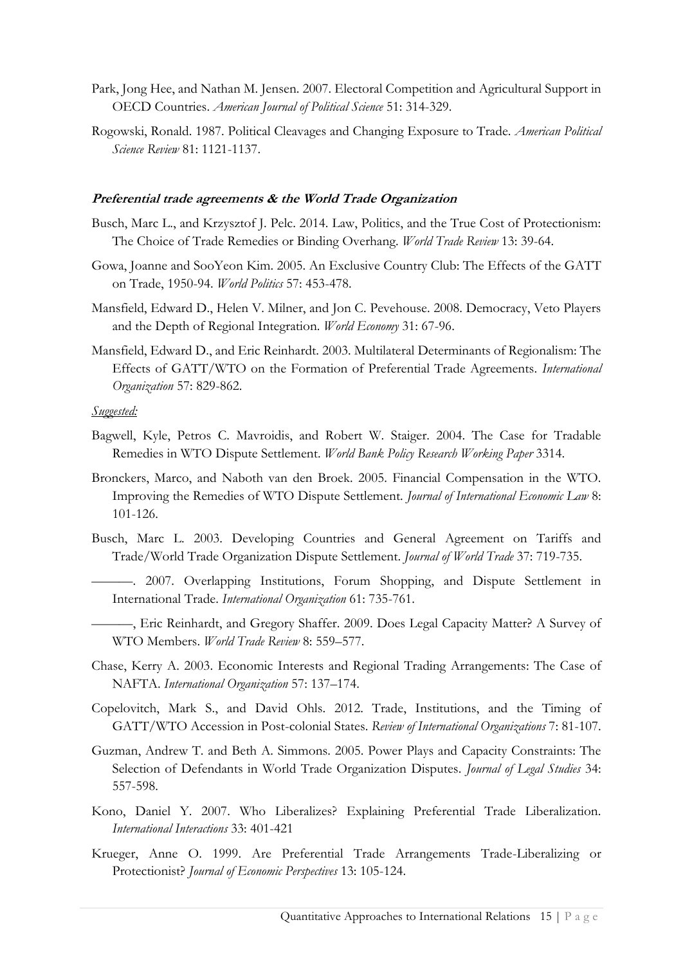- Park, Jong Hee, and Nathan M. Jensen. 2007. Electoral Competition and Agricultural Support in OECD Countries. *American Journal of Political Science* 51: 314-329.
- Rogowski, Ronald. 1987. Political Cleavages and Changing Exposure to Trade. *American Political Science Review* 81: 1121-1137.

#### **Preferential trade agreements & the World Trade Organization**

- Busch, Marc L., and Krzysztof J. Pelc. 2014. Law, Politics, and the True Cost of Protectionism: The Choice of Trade Remedies or Binding Overhang. *World Trade Review* 13: 39-64.
- Gowa, Joanne and SooYeon Kim. 2005. An Exclusive Country Club: The Effects of the GATT on Trade, 1950-94. *World Politics* 57: 453-478.
- Mansfield, Edward D., Helen V. Milner, and Jon C. Pevehouse. 2008. Democracy, Veto Players and the Depth of Regional Integration. *World Economy* 31: 67-96.
- Mansfield, Edward D., and Eric Reinhardt. 2003. Multilateral Determinants of Regionalism: The Effects of GATT/WTO on the Formation of Preferential Trade Agreements. *International Organization* 57: 829-862.

- Bagwell, Kyle, Petros C. Mavroidis, and Robert W. Staiger. 2004. The Case for Tradable Remedies in WTO Dispute Settlement. *World Bank Policy Research Working Paper* 3314.
- Bronckers, Marco, and Naboth van den Broek. 2005. Financial Compensation in the WTO. Improving the Remedies of WTO Dispute Settlement. *Journal of International Economic Law* 8: 101-126.
- Busch, Marc L. 2003. Developing Countries and General Agreement on Tariffs and Trade/World Trade Organization Dispute Settlement. *Journal of World Trade* 37: 719-735.
	- ———. 2007. Overlapping Institutions, Forum Shopping, and Dispute Settlement in International Trade. *International Organization* 61: 735-761.
- ———, Eric Reinhardt, and Gregory Shaffer. 2009. Does Legal Capacity Matter? A Survey of WTO Members. *World Trade Review* 8: 559–577.
- Chase, Kerry A. 2003. Economic Interests and Regional Trading Arrangements: The Case of NAFTA. *International Organization* 57: 137–174.
- Copelovitch, Mark S., and David Ohls. 2012. Trade, Institutions, and the Timing of GATT/WTO Accession in Post-colonial States. *Review of International Organizations* 7: 81-107.
- Guzman, Andrew T. and Beth A. Simmons. 2005. Power Plays and Capacity Constraints: The Selection of Defendants in World Trade Organization Disputes. *Journal of Legal Studies* 34: 557-598.
- Kono, Daniel Y. 2007. Who Liberalizes? Explaining Preferential Trade Liberalization. *International Interactions* 33: 401-421
- Krueger, Anne O. 1999. Are Preferential Trade Arrangements Trade-Liberalizing or Protectionist? *Journal of Economic Perspectives* 13: 105-124.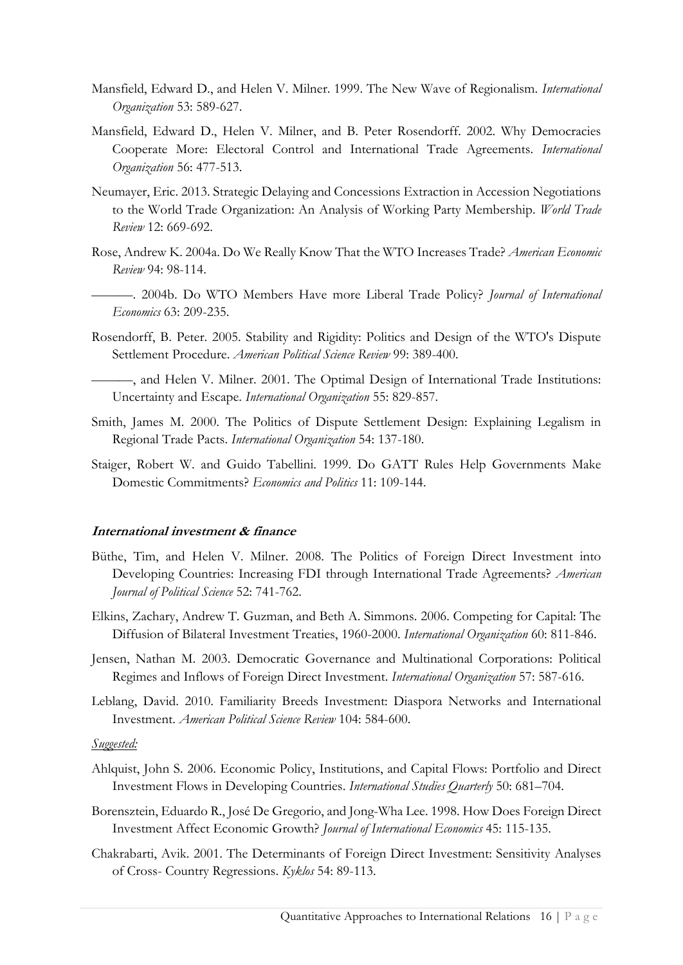- Mansfield, Edward D., and Helen V. Milner. 1999. The New Wave of Regionalism. *International Organization* 53: 589-627.
- Mansfield, Edward D., Helen V. Milner, and B. Peter Rosendorff. 2002. Why Democracies Cooperate More: Electoral Control and International Trade Agreements. *International Organization* 56: 477-513.
- Neumayer, Eric. 2013. Strategic Delaying and Concessions Extraction in Accession Negotiations to the World Trade Organization: An Analysis of Working Party Membership. *World Trade Review* 12: 669-692.
- Rose, Andrew K. 2004a. Do We Really Know That the WTO Increases Trade? *American Economic Review* 94: 98-114.
- ———. 2004b. Do WTO Members Have more Liberal Trade Policy? *Journal of International Economics* 63: 209-235.
- Rosendorff, B. Peter. 2005. Stability and Rigidity: Politics and Design of the WTO's Dispute Settlement Procedure. *American Political Science Review* 99: 389-400.

———, and Helen V. Milner. 2001. The Optimal Design of International Trade Institutions: Uncertainty and Escape. *International Organization* 55: 829-857.

- Smith, James M. 2000. The Politics of Dispute Settlement Design: Explaining Legalism in Regional Trade Pacts. *International Organization* 54: 137-180.
- Staiger, Robert W. and Guido Tabellini. 1999. Do GATT Rules Help Governments Make Domestic Commitments? *Economics and Politics* 11: 109-144.

#### **International investment & finance**

- Büthe, Tim, and Helen V. Milner. 2008. The Politics of Foreign Direct Investment into Developing Countries: Increasing FDI through International Trade Agreements? *American Journal of Political Science* 52: 741-762.
- Elkins, Zachary, Andrew T. Guzman, and Beth A. Simmons. 2006. Competing for Capital: The Diffusion of Bilateral Investment Treaties, 1960-2000. *International Organization* 60: 811-846.
- Jensen, Nathan M. 2003. Democratic Governance and Multinational Corporations: Political Regimes and Inflows of Foreign Direct Investment. *International Organization* 57: 587-616.
- Leblang, David. 2010. Familiarity Breeds Investment: Diaspora Networks and International Investment. *American Political Science Review* 104: 584-600.

- Ahlquist, John S. 2006. Economic Policy, Institutions, and Capital Flows: Portfolio and Direct Investment Flows in Developing Countries. *International Studies Quarterly* 50: 681–704.
- Borensztein, Eduardo R., José De Gregorio, and Jong-Wha Lee. 1998. How Does Foreign Direct Investment Affect Economic Growth? *Journal of International Economics* 45: 115-135.
- Chakrabarti, Avik. 2001. The Determinants of Foreign Direct Investment: Sensitivity Analyses of Cross- Country Regressions. *Kyklos* 54: 89-113.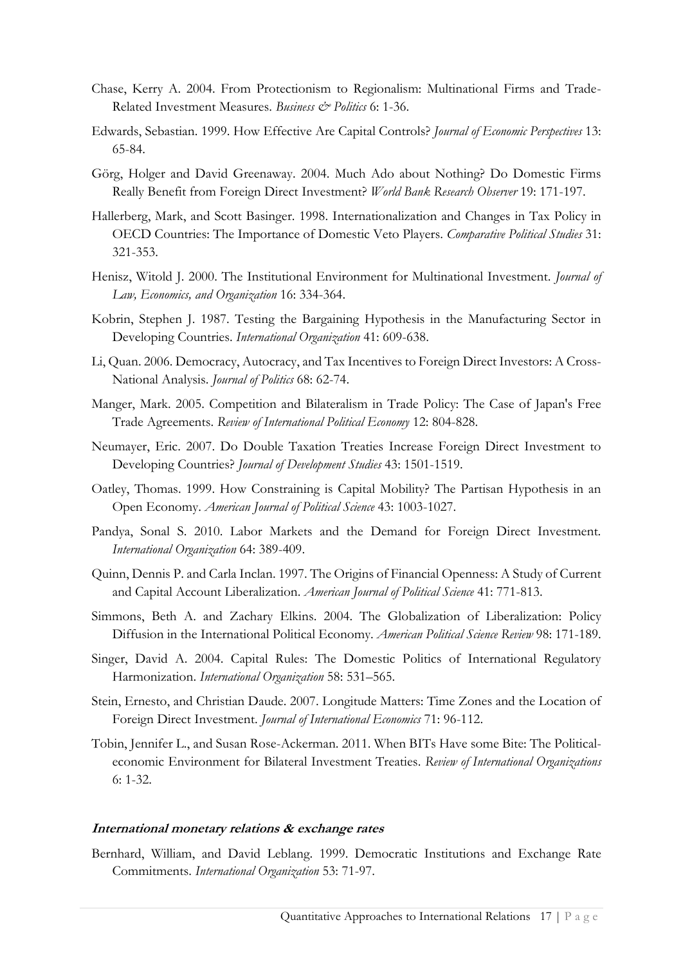- Chase, Kerry A. 2004. From Protectionism to Regionalism: Multinational Firms and Trade-Related Investment Measures. *Business & Politics* 6: 1-36.
- Edwards, Sebastian. 1999. How Effective Are Capital Controls? *Journal of Economic Perspectives* 13: 65-84.
- Görg, Holger and David Greenaway. 2004. Much Ado about Nothing? Do Domestic Firms Really Benefit from Foreign Direct Investment? *World Bank Research Observer* 19: 171-197.
- Hallerberg, Mark, and Scott Basinger. 1998. Internationalization and Changes in Tax Policy in OECD Countries: The Importance of Domestic Veto Players. *Comparative Political Studies* 31: 321-353.
- Henisz, Witold J. 2000. The Institutional Environment for Multinational Investment. *Journal of Law, Economics, and Organization* 16: 334-364.
- Kobrin, Stephen J. 1987. Testing the Bargaining Hypothesis in the Manufacturing Sector in Developing Countries. *International Organization* 41: 609-638.
- Li, Quan. 2006. Democracy, Autocracy, and Tax Incentives to Foreign Direct Investors: A Cross-National Analysis. *Journal of Politics* 68: 62-74.
- Manger, Mark. 2005. Competition and Bilateralism in Trade Policy: The Case of Japan's Free Trade Agreements. *Review of International Political Economy* 12: 804-828.
- Neumayer, Eric. 2007. Do Double Taxation Treaties Increase Foreign Direct Investment to Developing Countries? *Journal of Development Studies* 43: 1501-1519.
- Oatley, Thomas. 1999. How Constraining is Capital Mobility? The Partisan Hypothesis in an Open Economy. *American Journal of Political Science* 43: 1003-1027.
- Pandya, Sonal S. 2010. Labor Markets and the Demand for Foreign Direct Investment. *International Organization* 64: 389-409.
- Quinn, Dennis P. and Carla Inclan. 1997. The Origins of Financial Openness: A Study of Current and Capital Account Liberalization. *American Journal of Political Science* 41: 771-813.
- Simmons, Beth A. and Zachary Elkins. 2004. The Globalization of Liberalization: Policy Diffusion in the International Political Economy. *American Political Science Review* 98: 171-189.
- Singer, David A. 2004. Capital Rules: The Domestic Politics of International Regulatory Harmonization. *International Organization* 58: 531–565.
- Stein, Ernesto, and Christian Daude. 2007. Longitude Matters: Time Zones and the Location of Foreign Direct Investment. *Journal of International Economics* 71: 96-112.
- Tobin, Jennifer L., and Susan Rose-Ackerman. 2011. When BITs Have some Bite: The Politicaleconomic Environment for Bilateral Investment Treaties. *Review of International Organizations* 6: 1-32.

#### **International monetary relations & exchange rates**

Bernhard, William, and David Leblang. 1999. Democratic Institutions and Exchange Rate Commitments. *International Organization* 53: 71-97.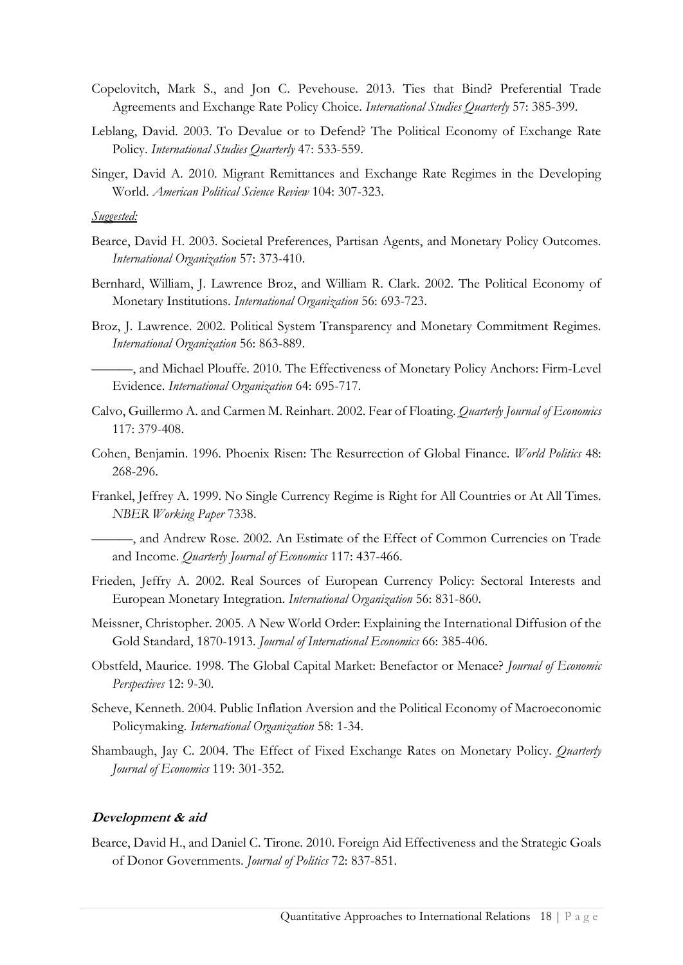- Copelovitch, Mark S., and Jon C. Pevehouse. 2013. Ties that Bind? Preferential Trade Agreements and Exchange Rate Policy Choice. *International Studies Quarterly* 57: 385-399.
- Leblang, David. 2003. To Devalue or to Defend? The Political Economy of Exchange Rate Policy. *International Studies Quarterly* 47: 533-559.
- Singer, David A. 2010. Migrant Remittances and Exchange Rate Regimes in the Developing World. *American Political Science Review* 104: 307-323.

*Suggested:*

- Bearce, David H. 2003. Societal Preferences, Partisan Agents, and Monetary Policy Outcomes. *International Organization* 57: 373-410.
- Bernhard, William, J. Lawrence Broz, and William R. Clark. 2002. The Political Economy of Monetary Institutions. *International Organization* 56: 693-723.
- Broz, J. Lawrence. 2002. Political System Transparency and Monetary Commitment Regimes. *International Organization* 56: 863-889.

———, and Michael Plouffe. 2010. The Effectiveness of Monetary Policy Anchors: Firm-Level Evidence. *International Organization* 64: 695-717.

- Calvo, Guillermo A. and Carmen M. Reinhart. 2002. Fear of Floating. *Quarterly Journal of Economics* 117: 379-408.
- Cohen, Benjamin. 1996. Phoenix Risen: The Resurrection of Global Finance. *World Politics* 48: 268-296.
- Frankel, Jeffrey A. 1999. No Single Currency Regime is Right for All Countries or At All Times. *NBER Working Paper* 7338.

———, and Andrew Rose. 2002. An Estimate of the Effect of Common Currencies on Trade and Income. *Quarterly Journal of Economics* 117: 437-466.

- Frieden, Jeffry A. 2002. Real Sources of European Currency Policy: Sectoral Interests and European Monetary Integration. *International Organization* 56: 831-860.
- Meissner, Christopher. 2005. A New World Order: Explaining the International Diffusion of the Gold Standard, 1870-1913. *Journal of International Economics* 66: 385-406.
- Obstfeld, Maurice. 1998. The Global Capital Market: Benefactor or Menace? *Journal of Economic Perspectives* 12: 9-30.
- Scheve, Kenneth. 2004. Public Inflation Aversion and the Political Economy of Macroeconomic Policymaking. *International Organization* 58: 1-34.
- Shambaugh, Jay C. 2004. The Effect of Fixed Exchange Rates on Monetary Policy. *Quarterly Journal of Economics* 119: 301-352.

## **Development & aid**

Bearce, David H., and Daniel C. Tirone. 2010. Foreign Aid Effectiveness and the Strategic Goals of Donor Governments. *Journal of Politics* 72: 837-851.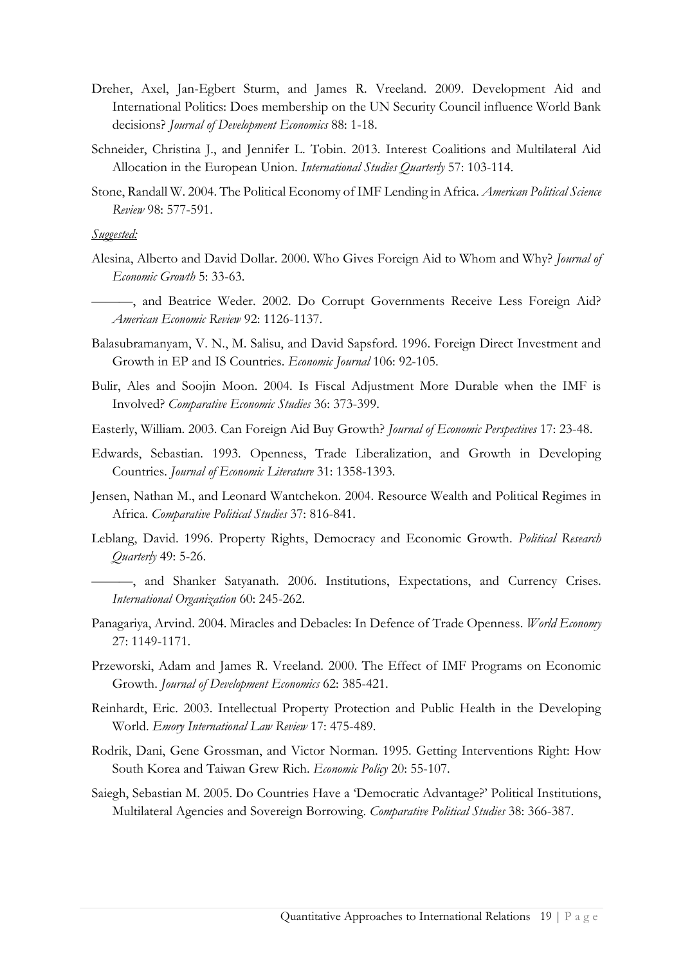- Dreher, Axel, Jan-Egbert Sturm, and James R. Vreeland. 2009. Development Aid and International Politics: Does membership on the UN Security Council influence World Bank decisions? *Journal of Development Economics* 88: 1-18.
- Schneider, Christina J., and Jennifer L. Tobin. 2013. Interest Coalitions and Multilateral Aid Allocation in the European Union. *International Studies Quarterly* 57: 103-114.
- Stone, Randall W. 2004. The Political Economy of IMF Lending in Africa. *American Political Science Review* 98: 577-591.

- Alesina, Alberto and David Dollar. 2000. Who Gives Foreign Aid to Whom and Why? *Journal of Economic Growth* 5: 33-63.
- ———, and Beatrice Weder. 2002. Do Corrupt Governments Receive Less Foreign Aid? *American Economic Review* 92: 1126-1137.
- Balasubramanyam, V. N., M. Salisu, and David Sapsford. 1996. Foreign Direct Investment and Growth in EP and IS Countries. *Economic Journal* 106: 92-105.
- Bulir, Ales and Soojin Moon. 2004. Is Fiscal Adjustment More Durable when the IMF is Involved? *Comparative Economic Studies* 36: 373-399.
- Easterly, William. 2003. Can Foreign Aid Buy Growth? *Journal of Economic Perspectives* 17: 23-48.
- Edwards, Sebastian. 1993. Openness, Trade Liberalization, and Growth in Developing Countries. *Journal of Economic Literature* 31: 1358-1393.
- Jensen, Nathan M., and Leonard Wantchekon. 2004. Resource Wealth and Political Regimes in Africa. *Comparative Political Studies* 37: 816-841.
- Leblang, David. 1996. Property Rights, Democracy and Economic Growth. *Political Research Quarterly* 49: 5-26.
	- ———, and Shanker Satyanath. 2006. Institutions, Expectations, and Currency Crises. *International Organization* 60: 245-262.
- Panagariya, Arvind. 2004. Miracles and Debacles: In Defence of Trade Openness. *World Economy* 27: 1149-1171.
- Przeworski, Adam and James R. Vreeland. 2000. The Effect of IMF Programs on Economic Growth. *Journal of Development Economics* 62: 385-421.
- Reinhardt, Eric. 2003. Intellectual Property Protection and Public Health in the Developing World. *Emory International Law Review* 17: 475-489.
- Rodrik, Dani, Gene Grossman, and Victor Norman. 1995. Getting Interventions Right: How South Korea and Taiwan Grew Rich. *Economic Policy* 20: 55-107.
- Saiegh, Sebastian M. 2005. Do Countries Have a 'Democratic Advantage?' Political Institutions, Multilateral Agencies and Sovereign Borrowing. *Comparative Political Studies* 38: 366-387.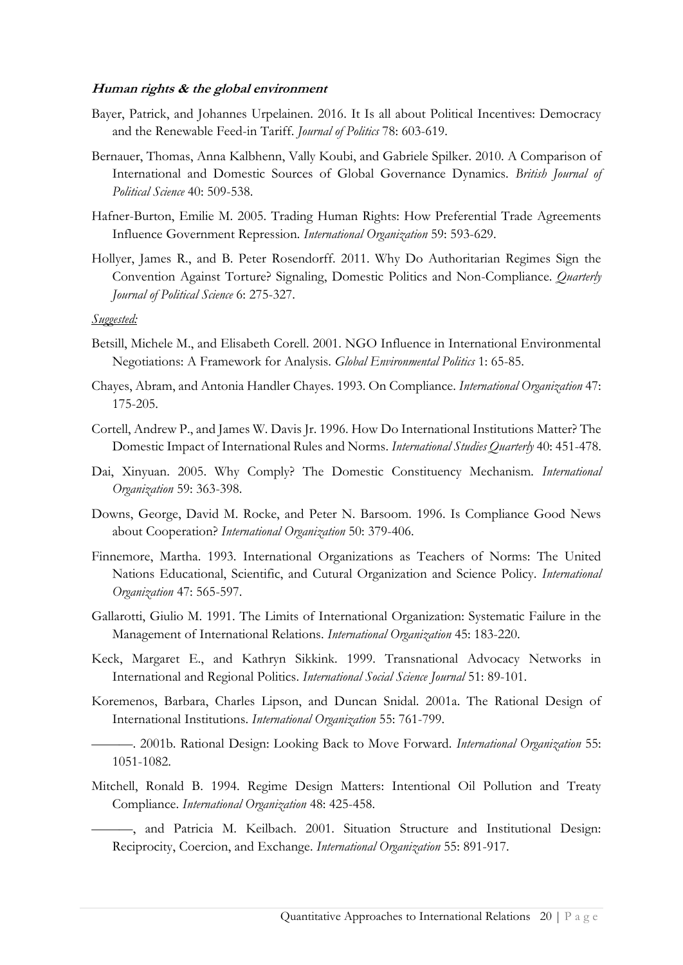## **Human rights & the global environment**

- Bayer, Patrick, and Johannes Urpelainen. 2016. It Is all about Political Incentives: Democracy and the Renewable Feed-in Tariff. *Journal of Politics* 78: 603-619.
- Bernauer, Thomas, Anna Kalbhenn, Vally Koubi, and Gabriele Spilker. 2010. A Comparison of International and Domestic Sources of Global Governance Dynamics. *British Journal of Political Science* 40: 509-538.
- Hafner-Burton, Emilie M. 2005. Trading Human Rights: How Preferential Trade Agreements Influence Government Repression*. International Organization* 59: 593-629.
- Hollyer, James R., and B. Peter Rosendorff. 2011. Why Do Authoritarian Regimes Sign the Convention Against Torture? Signaling, Domestic Politics and Non-Compliance. *Quarterly Journal of Political Science* 6: 275-327.

## *Suggested:*

- Betsill, Michele M., and Elisabeth Corell. 2001. NGO Influence in International Environmental Negotiations: A Framework for Analysis. *Global Environmental Politics* 1: 65-85.
- Chayes, Abram, and Antonia Handler Chayes. 1993. On Compliance. *International Organization* 47: 175-205.
- Cortell, Andrew P., and James W. Davis Jr. 1996. How Do International Institutions Matter? The Domestic Impact of International Rules and Norms. *International Studies Quarterly* 40: 451-478.
- Dai, Xinyuan. 2005. Why Comply? The Domestic Constituency Mechanism*. International Organization* 59: 363-398.
- Downs, George, David M. Rocke, and Peter N. Barsoom. 1996. Is Compliance Good News about Cooperation? *International Organization* 50: 379-406.
- Finnemore, Martha. 1993. International Organizations as Teachers of Norms: The United Nations Educational, Scientific, and Cutural Organization and Science Policy. *International Organization* 47: 565-597.
- Gallarotti, Giulio M. 1991. The Limits of International Organization: Systematic Failure in the Management of International Relations. *International Organization* 45: 183-220.
- Keck, Margaret E., and Kathryn Sikkink. 1999. Transnational Advocacy Networks in International and Regional Politics. *International Social Science Journal* 51: 89-101.
- Koremenos, Barbara, Charles Lipson, and Duncan Snidal. 2001a. The Rational Design of International Institutions. *International Organization* 55: 761-799.

———. 2001b. Rational Design: Looking Back to Move Forward. *International Organization* 55: 1051-1082.

Mitchell, Ronald B. 1994. Regime Design Matters: Intentional Oil Pollution and Treaty Compliance. *International Organization* 48: 425-458.

———, and Patricia M. Keilbach. 2001. Situation Structure and Institutional Design: Reciprocity, Coercion, and Exchange. *International Organization* 55: 891-917.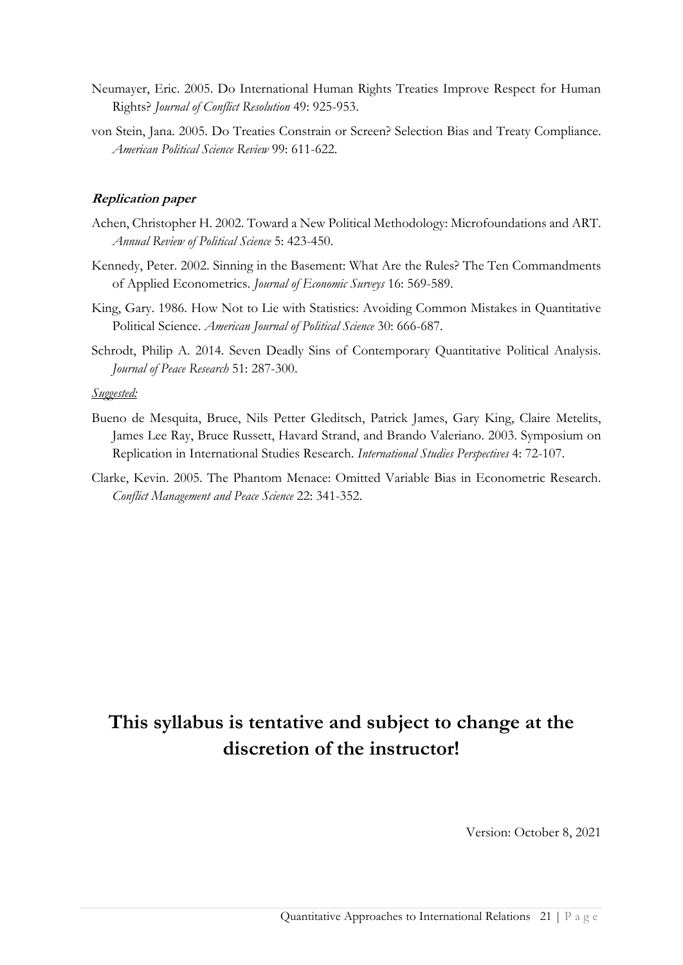- Neumayer, Eric. 2005. Do International Human Rights Treaties Improve Respect for Human Rights? *Journal of Conflict Resolution* 49: 925-953.
- von Stein, Jana. 2005. Do Treaties Constrain or Screen? Selection Bias and Treaty Compliance. *American Political Science Review* 99: 611-622.

# **Replication paper**

- Achen, Christopher H. 2002. Toward a New Political Methodology: Microfoundations and ART. *Annual Review of Political Science* 5: 423-450.
- Kennedy, Peter. 2002. Sinning in the Basement: What Are the Rules? The Ten Commandments of Applied Econometrics. *Journal of Economic Surveys* 16: 569-589.
- King, Gary. 1986. How Not to Lie with Statistics: Avoiding Common Mistakes in Quantitative Political Science. *American Journal of Political Science* 30: 666-687.
- Schrodt, Philip A. 2014. Seven Deadly Sins of Contemporary Quantitative Political Analysis. *Journal of Peace Research* 51: 287-300.

# *Suggested:*

- Bueno de Mesquita, Bruce, Nils Petter Gleditsch, Patrick James, Gary King, Claire Metelits, James Lee Ray, Bruce Russett, Havard Strand, and Brando Valeriano. 2003. Symposium on Replication in International Studies Research. *International Studies Perspectives* 4: 72-107.
- Clarke, Kevin. 2005. The Phantom Menace: Omitted Variable Bias in Econometric Research. *Conflict Management and Peace Science* 22: 341-352.

# **This syllabus is tentative and subject to change at the discretion of the instructor!**

Version: October 8, 2021